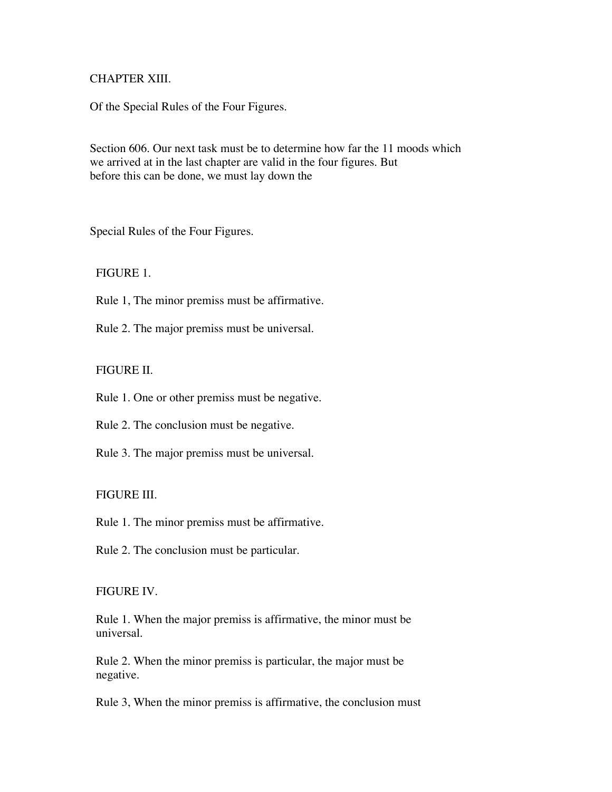## CHAPTER XIII.

Of the Special Rules of the Four Figures.

Section 606. Our next task must be to determine how far the 11 moods which we arrived at in the last chapter are valid in the four figures. But before this can be done, we must lay down the

Special Rules of the Four Figures.

FIGURE 1.

Rule 1, The minor premiss must be affirmative.

Rule 2. The major premiss must be universal.

FIGURE II.

Rule 1. One or other premiss must be negative.

Rule 2. The conclusion must be negative.

Rule 3. The major premiss must be universal.

## FIGURE III.

Rule 1. The minor premiss must be affirmative.

Rule 2. The conclusion must be particular.

#### FIGURE IV.

 Rule 1. When the major premiss is affirmative, the minor must be universal.

 Rule 2. When the minor premiss is particular, the major must be negative.

Rule 3, When the minor premiss is affirmative, the conclusion must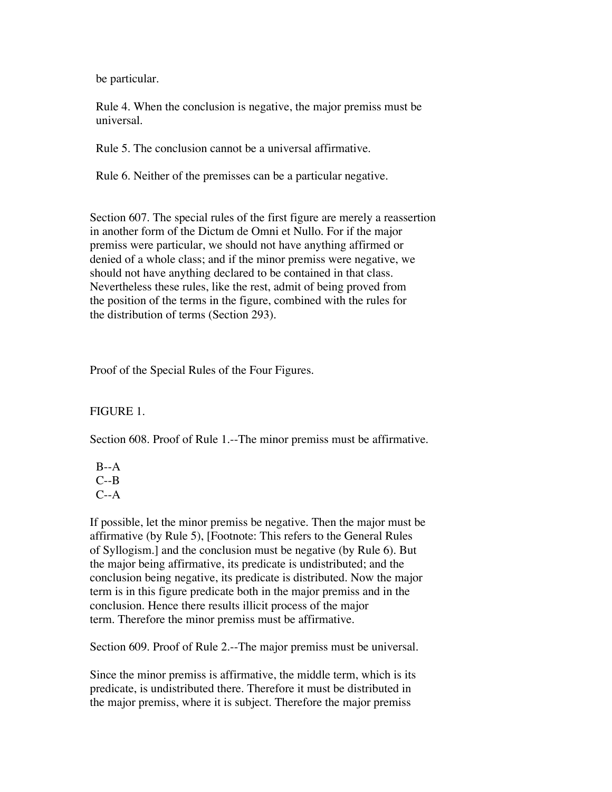be particular.

 Rule 4. When the conclusion is negative, the major premiss must be universal.

Rule 5. The conclusion cannot be a universal affirmative.

Rule 6. Neither of the premisses can be a particular negative.

Section 607. The special rules of the first figure are merely a reassertion in another form of the Dictum de Omni et Nullo. For if the major premiss were particular, we should not have anything affirmed or denied of a whole class; and if the minor premiss were negative, we should not have anything declared to be contained in that class. Nevertheless these rules, like the rest, admit of being proved from the position of the terms in the figure, combined with the rules for the distribution of terms (Section 293).

Proof of the Special Rules of the Four Figures.

FIGURE 1.

Section 608. Proof of Rule 1.--The minor premiss must be affirmative.

 $B - A$  $C - B$  $C-A$ 

If possible, let the minor premiss be negative. Then the major must be affirmative (by Rule 5), [Footnote: This refers to the General Rules of Syllogism.] and the conclusion must be negative (by Rule 6). But the major being affirmative, its predicate is undistributed; and the conclusion being negative, its predicate is distributed. Now the major term is in this figure predicate both in the major premiss and in the conclusion. Hence there results illicit process of the major term. Therefore the minor premiss must be affirmative.

Section 609. Proof of Rule 2.--The major premiss must be universal.

Since the minor premiss is affirmative, the middle term, which is its predicate, is undistributed there. Therefore it must be distributed in the major premiss, where it is subject. Therefore the major premiss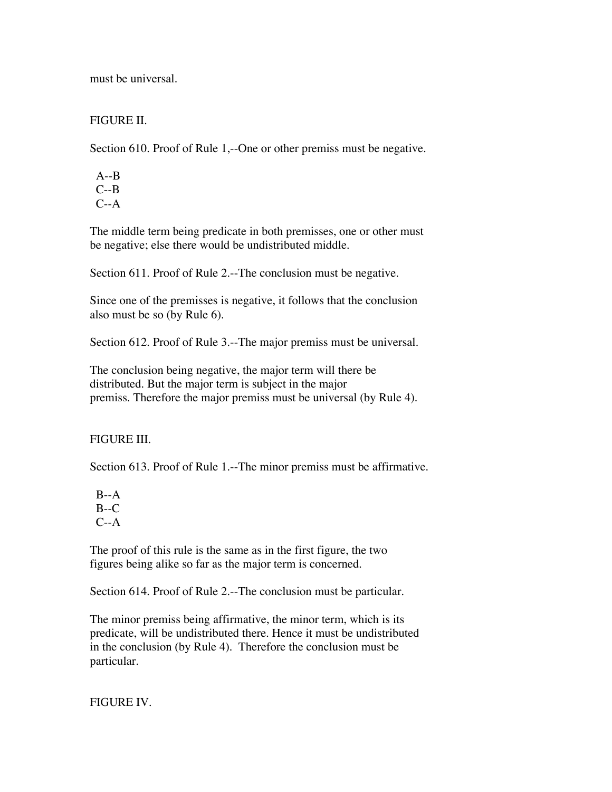must be universal.

## FIGURE II.

Section 610. Proof of Rule 1,--One or other premiss must be negative.

 A--B  $C - B$  $C-A$ 

The middle term being predicate in both premisses, one or other must be negative; else there would be undistributed middle.

Section 611. Proof of Rule 2.--The conclusion must be negative.

Since one of the premisses is negative, it follows that the conclusion also must be so (by Rule 6).

Section 612. Proof of Rule 3.--The major premiss must be universal.

The conclusion being negative, the major term will there be distributed. But the major term is subject in the major premiss. Therefore the major premiss must be universal (by Rule 4).

# FIGURE III.

Section 613. Proof of Rule 1.--The minor premiss must be affirmative.

 $B - A$  $B-C$  $C-A$ 

The proof of this rule is the same as in the first figure, the two figures being alike so far as the major term is concerned.

Section 614. Proof of Rule 2.--The conclusion must be particular.

The minor premiss being affirmative, the minor term, which is its predicate, will be undistributed there. Hence it must be undistributed in the conclusion (by Rule 4). Therefore the conclusion must be particular.

FIGURE IV.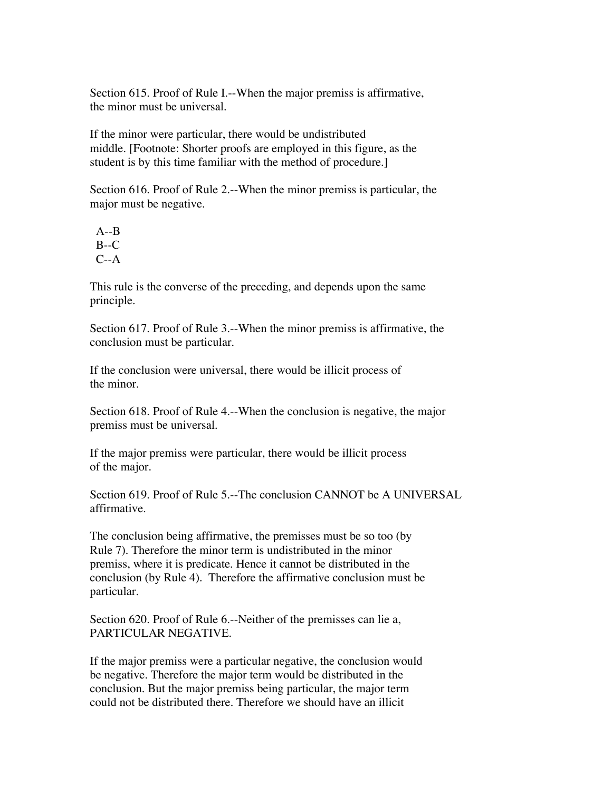Section 615. Proof of Rule I.--When the major premiss is affirmative, the minor must be universal.

If the minor were particular, there would be undistributed middle. [Footnote: Shorter proofs are employed in this figure, as the student is by this time familiar with the method of procedure.]

Section 616. Proof of Rule 2.--When the minor premiss is particular, the major must be negative.

 A--B  $B-C$  $C-A$ 

This rule is the converse of the preceding, and depends upon the same principle.

Section 617. Proof of Rule 3.--When the minor premiss is affirmative, the conclusion must be particular.

If the conclusion were universal, there would be illicit process of the minor.

Section 618. Proof of Rule 4.--When the conclusion is negative, the major premiss must be universal.

If the major premiss were particular, there would be illicit process of the major.

Section 619. Proof of Rule 5.--The conclusion CANNOT be A UNIVERSAL affirmative.

The conclusion being affirmative, the premisses must be so too (by Rule 7). Therefore the minor term is undistributed in the minor premiss, where it is predicate. Hence it cannot be distributed in the conclusion (by Rule 4). Therefore the affirmative conclusion must be particular.

Section 620. Proof of Rule 6.--Neither of the premisses can lie a, PARTICULAR NEGATIVE.

If the major premiss were a particular negative, the conclusion would be negative. Therefore the major term would be distributed in the conclusion. But the major premiss being particular, the major term could not be distributed there. Therefore we should have an illicit